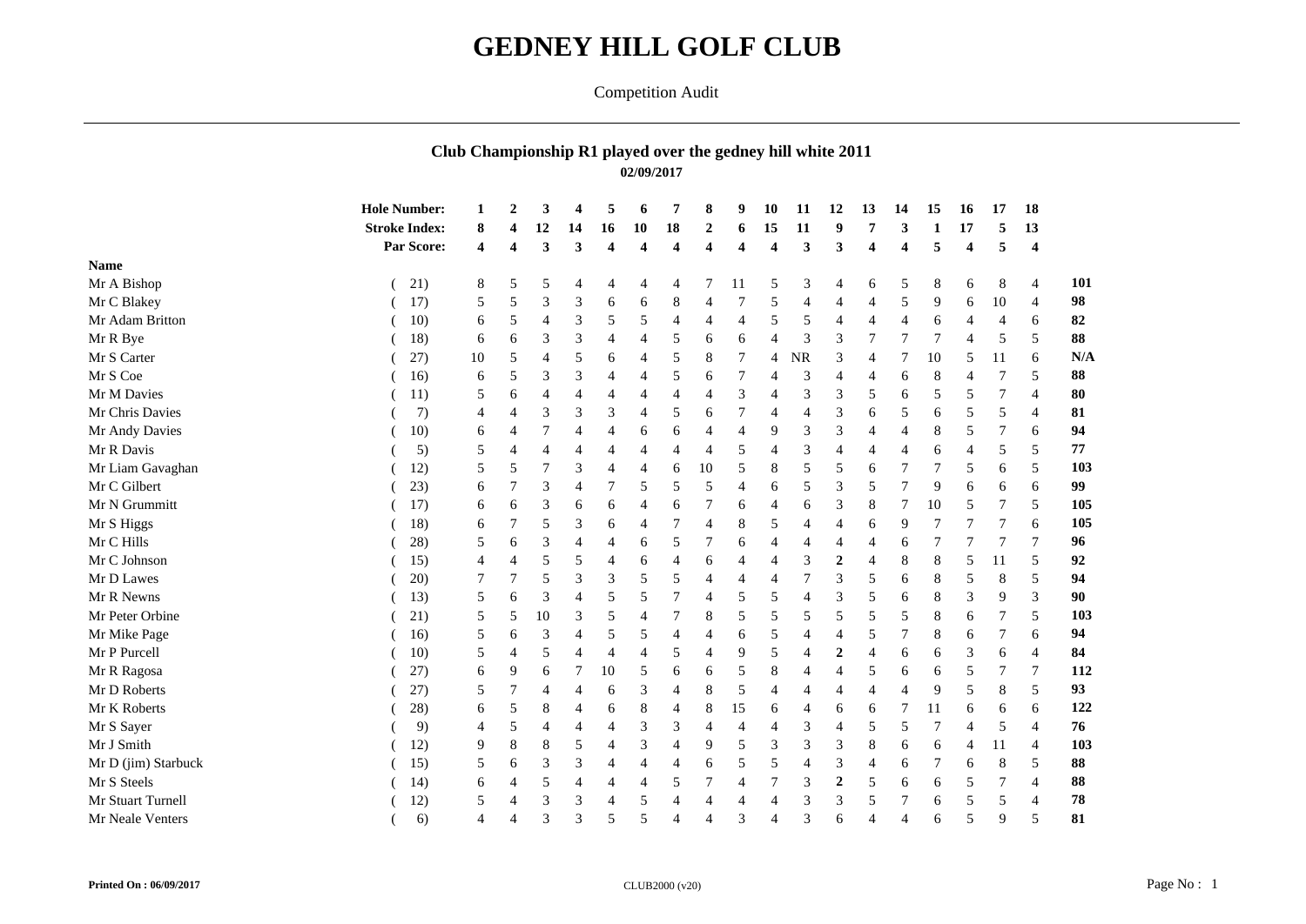## **GEDNEY HILL GOLF CLUB**

## Competition Audit

## **Club Championship R1 played over the gedney hill white 2011 02/09/2017**

|                     | <b>Hole Number:</b>  |    | $\overline{2}$ | 3              | 4              | 5                       | 6                       | 7                       | 8                       | 9                       | 10                      | 11             | 12                       | 13             | 14             | 15 | 16 | 17  | 18                      |          |
|---------------------|----------------------|----|----------------|----------------|----------------|-------------------------|-------------------------|-------------------------|-------------------------|-------------------------|-------------------------|----------------|--------------------------|----------------|----------------|----|----|-----|-------------------------|----------|
|                     | <b>Stroke Index:</b> | 8  |                | 12             | 14             | 16                      | 10                      | ${\bf 18}$              | $\boldsymbol{2}$        | 6                       | 15                      | 11             | 9                        |                | 3              |    | 17 |     | 13                      |          |
|                     | Par Score:           | 4  | 4              | 3              | $\mathbf{3}$   | $\overline{\mathbf{4}}$ | $\overline{\mathbf{4}}$ | $\overline{\mathbf{4}}$ | $\overline{\mathbf{4}}$ | $\overline{\mathbf{4}}$ | $\overline{\mathbf{4}}$ | 3              | 3                        | 4              | 4              | 5  | 4  |     | $\overline{\mathbf{4}}$ |          |
| <b>Name</b>         |                      |    |                |                |                |                         |                         |                         |                         |                         |                         |                |                          |                |                |    |    |     |                         |          |
| Mr A Bishop         | 21)                  | 8  | 5              | 5              | 4              | 4                       | 4                       | 4                       | 7                       | 11                      | 5                       | 3              | $\overline{4}$           | 6              | 5              | 8  | 6  | 8   | $\overline{4}$          |          |
| Mr C Blakey         | 17)                  | 5  | 5              | 3              | 3              | 6                       | 6                       | 8                       | 4                       | 7                       | 5                       | $\overline{4}$ |                          | $\overline{A}$ | 5              | 9  | 6  | 10  | $\overline{4}$          |          |
| Mr Adam Britton     | 10)                  | 6  | 5              | $\overline{4}$ | 3              | 5                       | 5                       | 4                       | 4                       | 4                       | 5                       | 5              | 4                        | 4              |                | 6  |    |     | 6                       |          |
| Mr R Bye            | 18)                  | 6  | 6              | 3              | 3              | 4                       | $\overline{4}$          | 5                       | 6                       | 6                       | $\overline{4}$          | 3              | 3                        | 7              | 7              |    |    | 5   | 5                       |          |
| Mr S Carter         | 27)                  | 10 | 5              | $\overline{4}$ | 5              | 6                       | 4                       | 5                       | $\,8\,$                 | 7                       | 4                       | $\rm NR$       | 3                        | $\overline{4}$ | 7              | 10 | 5  | -11 | 6                       |          |
| Mr S Coe            | 16)                  | 6  | 5              | 3              | 3              | 4                       | 4                       | 5                       | 6                       | 7                       | $\overline{4}$          | 3              | $\overline{4}$           | $\overline{4}$ | 6              | 8  |    |     | 5                       |          |
| Mr M Davies         | 11)                  | 5  | 6              | $\overline{4}$ | 4              | 4                       | 4                       | 4                       | $\overline{4}$          | 3                       | $\overline{4}$          | 3              | 3                        | 5              | 6              | 5  | 5  |     | $\overline{4}$          |          |
| Mr Chris Davies     | 7)                   | 4  | 4              | 3              | 3              | 3                       | $\overline{4}$          | 5                       | 6                       | 7                       | $\overline{4}$          | $\overline{4}$ | 3                        | 6              | 5              | 6  | 5  | 5   |                         |          |
| Mr Andy Davies      | 10)                  | 6  | 4              |                | 4              | 4                       | 6                       | 6                       | $\overline{4}$          | $\overline{4}$          | 9                       | 3              | 3                        | $\overline{4}$ | $\overline{4}$ | 8  | 5  |     | 6                       |          |
| Mr R Davis          | 5)                   | 5  | 4              | $\overline{4}$ | $\overline{4}$ | 4                       | $\overline{4}$          | 4                       | $\overline{4}$          | 5                       | $\overline{4}$          | 3              | 4                        | $\overline{4}$ | 4              | 6  | 4  | .5  | 5                       |          |
| Mr Liam Gavaghan    | 12)                  | 5  | 5              |                | 3              | $\overline{4}$          | $\overline{4}$          | 6                       | 10                      | 5                       | 8                       | 5              | 5                        | 6              | 7              |    | 5  | 6   | 5                       |          |
| Mr C Gilbert        | 23)                  | 6  |                | 3              | $\overline{4}$ | 7                       | 5                       | 5                       | 5                       | $\overline{4}$          | 6                       | 5              | 3                        | 5              | 7              | 9  | 6  | 6   | 6                       |          |
| Mr N Grummitt       | 17)                  | 6  | 6              | 3              | 6              | 6                       | $\overline{4}$          | 6                       | 7                       | 6                       | $\overline{4}$          | 6              | 3                        | 8              | 7              | 10 | 5  | 7   | 5                       |          |
| Mr S Higgs          | 18)                  | 6  |                | 5              | 3              | 6                       | $\overline{4}$          | 7                       | 4                       | 8                       | 5                       | $\overline{4}$ | $\overline{4}$           | 6              | 9              | 7  |    | 7   | 6                       |          |
| Mr C Hills          | 28)                  | 5  | 6              | 3              | 4              | 4                       | 6                       | 5                       | 7                       | 6                       | $\overline{4}$          | 4              |                          | $\overline{4}$ | 6              |    |    | 7   |                         |          |
| Mr C Johnson        | 15)                  | 4  | 4              | 5              | 5              | $\overline{4}$          | 6                       | 4                       | 6                       | $\overline{4}$          | $\overline{4}$          | 3              | $\overline{2}$           | $\overline{4}$ | 8              | 8  | 5  | 11  | 5                       |          |
| Mr D Lawes          | 20)                  | 7  |                | 5              | 3              | 3                       | 5                       | 5                       | $\overline{4}$          | $\overline{4}$          | $\overline{4}$          | $\overline{7}$ | 3                        | 5              | 6              | 8  | 5  | 8   | 5                       |          |
| Mr R Newns          | 13)                  | 5  | 6              | 3              | 4              | 5                       | 5                       | 7                       | 4                       | 5                       | 5                       | $\overline{4}$ | 3                        | 5              | 6              | 8  | 3  | 9   | 3                       |          |
| Mr Peter Orbine     | 21)                  | 5  | 5              | 10             | 3              | 5                       | $\overline{4}$          | $\overline{7}$          | $\,8\,$                 | 5                       | 5                       | 5              | 5                        | 5              | 5              | 8  | 6  | 7   | .5                      |          |
| Mr Mike Page        | 16)                  | 5  | 6              | 3              | 4              | 5                       | 5                       | 4                       | $\overline{4}$          | 6                       | 5                       | $\overline{4}$ | $\overline{4}$           | 5              | 7              | 8  | 6  | 7   | 6                       |          |
| Mr P Purcell        | 10)                  | 5  | 4              | 5              | $\overline{4}$ | 4                       | $\overline{4}$          | 5                       | 4                       | 9                       | 5                       | $\overline{4}$ | $\overline{2}$           | $\overline{A}$ | 6              | 6  | 3  | 6   | 4                       |          |
| Mr R Ragosa         | 27)                  | 6  | 9              | 6              |                | 10                      | 5                       | 6                       | 6                       | 5                       | 8                       | $\overline{4}$ | 4                        | 5              | 6              | 6  | 5  |     |                         |          |
| Mr D Roberts        | 27)                  | 5  |                |                |                | 6                       | 3                       | 4                       | $\,8\,$                 | 5                       | $\overline{4}$          | $\overline{4}$ | $\boldsymbol{\varDelta}$ | $\overline{A}$ | 4              | 9  | 5  | 8   | 5                       |          |
| Mr K Roberts        | 28)                  | 6  | 5              | 8              | 4              | 6                       | 8                       | 4                       | $\,8\,$                 | 15                      | 6                       | $\overline{4}$ | 6                        | 6              | 7              | 11 | 6  | 6   | 6                       |          |
| Mr S Sayer          | 9)                   | 4  | 5              | $\overline{4}$ | 4              | 4                       | 3                       | 3                       | $\overline{4}$          | 4                       | $\overline{4}$          | 3              | $\overline{4}$           | 5              | 5              | 7  | 4  | 5   | $\overline{4}$          |          |
| Mr J Smith          | 12)                  | 9  | 8              | 8              | 5              | 4                       | 3                       | 4                       | 9                       | 5                       | 3                       | 3              | 3                        | 8              | 6              | 6  | 4  | 11  | $\overline{4}$          |          |
| Mr D (jim) Starbuck | 15)                  | 5  | 6              | 3              | 3              | 4                       | $\overline{4}$          | 4                       | 6                       | 5                       | 5                       | $\overline{4}$ | 3                        | $\overline{4}$ | 6              |    | 6  | 8   | 5                       |          |
| Mr S Steels         | 14)                  | 6  | 4              | .5             |                | 4                       | 4                       | 5                       | 7                       | 4                       | $\overline{7}$          | 3              | $\overline{2}$           | 5              | 6              | 6  | 5  |     |                         |          |
| Mr Stuart Turnell   | 12)                  | 5  | 4              | 3              | 3              | 4                       | 5                       | $\overline{4}$          | 4                       | 4                       | $\overline{4}$          | 3              | 3                        | 5              | 7              | 6  | 5  | 5   |                         | 88<br>78 |
| Mr Neale Venters    | 6)                   | 4  | 4              | 3              | 3              | 5                       | 5                       | 4                       | $\overline{4}$          | 3                       | $\overline{4}$          | 3              | 6                        | $\overline{4}$ | $\overline{4}$ | 6  | 5  | 9   | .5                      | 81       |